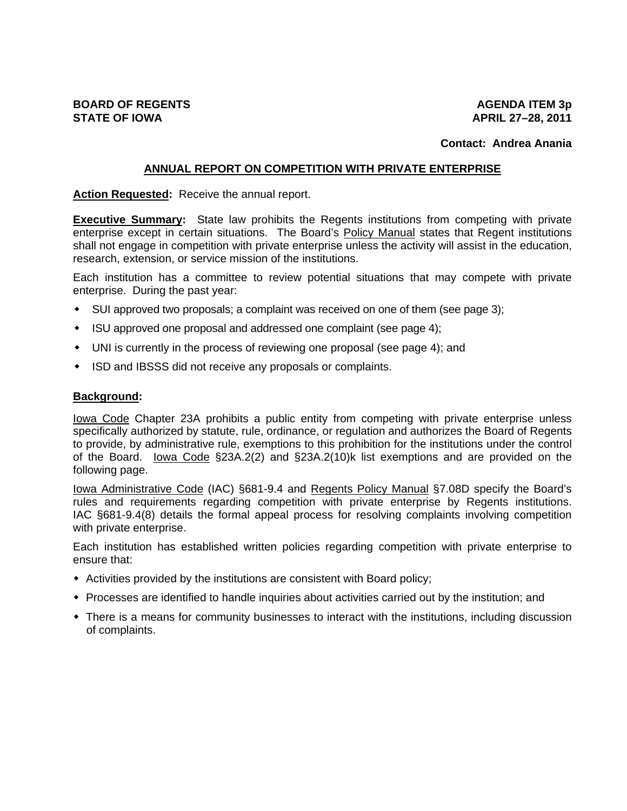# **Contact: Andrea Anania**

## **ANNUAL REPORT ON COMPETITION WITH PRIVATE ENTERPRISE**

### **Action Requested:** Receive the annual report.

**Executive Summary:** State law prohibits the Regents institutions from competing with private enterprise except in certain situations. The Board's Policy Manual states that Regent institutions shall not engage in competition with private enterprise unless the activity will assist in the education, research, extension, or service mission of the institutions.

Each institution has a committee to review potential situations that may compete with private enterprise. During the past year:

- SUI approved two proposals; a complaint was received on one of them (see page 3);
- ISU approved one proposal and addressed one complaint (see page 4);
- UNI is currently in the process of reviewing one proposal (see page 4); and
- ISD and IBSSS did not receive any proposals or complaints.

### **Background:**

Iowa Code Chapter 23A prohibits a public entity from competing with private enterprise unless specifically authorized by statute, rule, ordinance, or regulation and authorizes the Board of Regents to provide, by administrative rule, exemptions to this prohibition for the institutions under the control of the Board. lowa Code §23A.2(2) and §23A.2(10)k list exemptions and are provided on the following page.

lowa Administrative Code (IAC) §681-9.4 and Regents Policy Manual §7.08D specify the Board's rules and requirements regarding competition with private enterprise by Regents institutions. IAC §681-9.4(8) details the formal appeal process for resolving complaints involving competition with private enterprise.

Each institution has established written policies regarding competition with private enterprise to ensure that:

- $\bullet$  Activities provided by the institutions are consistent with Board policy;
- Processes are identified to handle inquiries about activities carried out by the institution; and
- There is a means for community businesses to interact with the institutions, including discussion of complaints.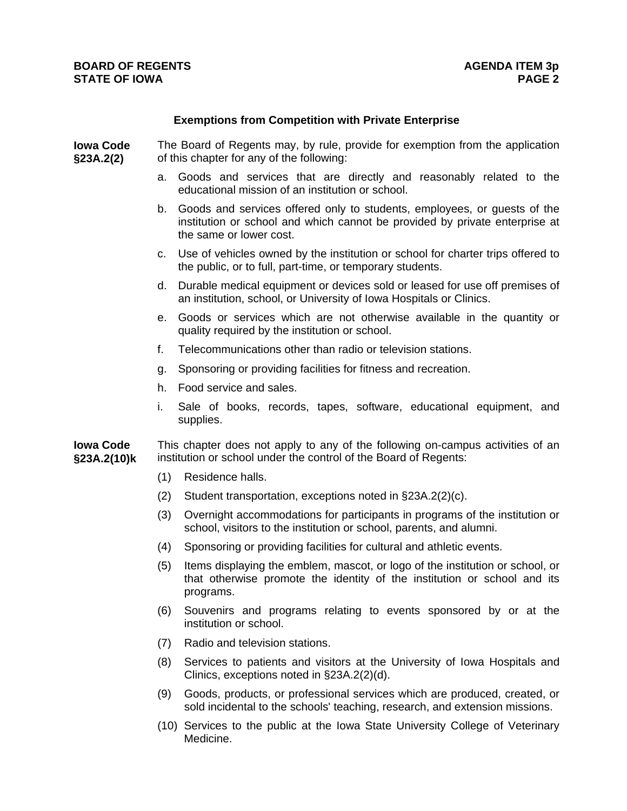### **Exemptions from Competition with Private Enterprise**

**Iowa Code §23A.2(2)** The Board of Regents may, by rule, provide for exemption from the application of this chapter for any of the following:

- a. Goods and services that are directly and reasonably related to the educational mission of an institution or school.
- b. Goods and services offered only to students, employees, or guests of the institution or school and which cannot be provided by private enterprise at the same or lower cost.
- c. Use of vehicles owned by the institution or school for charter trips offered to the public, or to full, part-time, or temporary students.
- d. Durable medical equipment or devices sold or leased for use off premises of an institution, school, or University of Iowa Hospitals or Clinics.
- e. Goods or services which are not otherwise available in the quantity or quality required by the institution or school.
- f. Telecommunications other than radio or television stations.
- g. Sponsoring or providing facilities for fitness and recreation.
- h. Food service and sales.
- i. Sale of books, records, tapes, software, educational equipment, and supplies.

**Iowa Code §23A.2(10)k**  This chapter does not apply to any of the following on-campus activities of an institution or school under the control of the Board of Regents:

- (1) Residence halls.
- (2) Student transportation, exceptions noted in §23A.2(2)(c).
- (3) Overnight accommodations for participants in programs of the institution or school, visitors to the institution or school, parents, and alumni.
- (4) Sponsoring or providing facilities for cultural and athletic events.
- (5) Items displaying the emblem, mascot, or logo of the institution or school, or that otherwise promote the identity of the institution or school and its programs.
- (6) Souvenirs and programs relating to events sponsored by or at the institution or school.
- (7) Radio and television stations.
- (8) Services to patients and visitors at the University of Iowa Hospitals and Clinics, exceptions noted in §23A.2(2)(d).
- (9) Goods, products, or professional services which are produced, created, or sold incidental to the schools' teaching, research, and extension missions.
- (10) Services to the public at the Iowa State University College of Veterinary Medicine.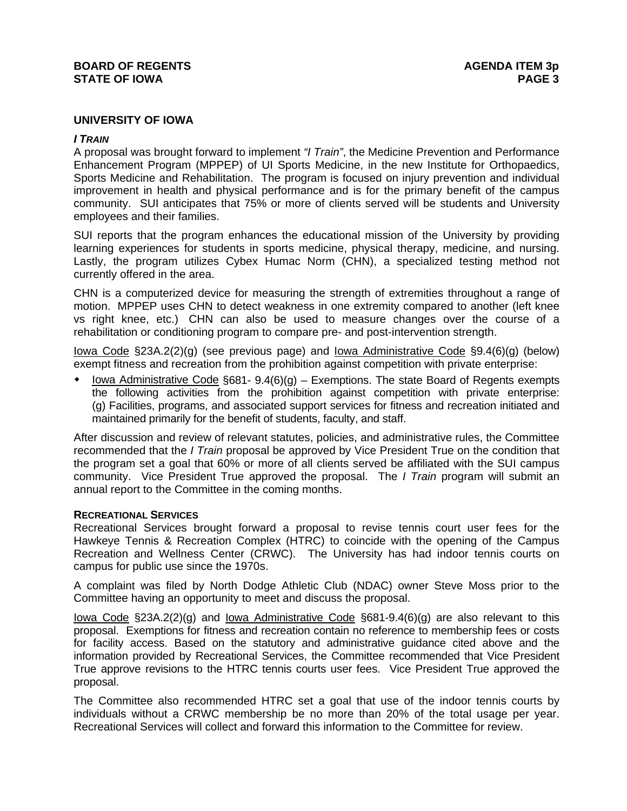# **BOARD OF REGENTS AGENUS AGENDA ITEM 3p STATE OF IOWA** PAGE 3

## **UNIVERSITY OF IOWA**

## *I TRAIN*

A proposal was brought forward to implement *"I Train"*, the Medicine Prevention and Performance Enhancement Program (MPPEP) of UI Sports Medicine, in the new Institute for Orthopaedics, Sports Medicine and Rehabilitation. The program is focused on injury prevention and individual improvement in health and physical performance and is for the primary benefit of the campus community. SUI anticipates that 75% or more of clients served will be students and University employees and their families.

SUI reports that the program enhances the educational mission of the University by providing learning experiences for students in sports medicine, physical therapy, medicine, and nursing. Lastly, the program utilizes Cybex Humac Norm (CHN), a specialized testing method not currently offered in the area.

CHN is a computerized device for measuring the strength of extremities throughout a range of motion. MPPEP uses CHN to detect weakness in one extremity compared to another (left knee vs right knee, etc.) CHN can also be used to measure changes over the course of a rehabilitation or conditioning program to compare pre- and post-intervention strength.

Iowa Code §23A.2(2)(g) (see previous page) and Iowa Administrative Code §9.4(6)(g) (below) exempt fitness and recreation from the prohibition against competition with private enterprise:

Iowa Administrative Code  $\S 681 - 9.4(6)(q)$  – Exemptions. The state Board of Regents exempts the following activities from the prohibition against competition with private enterprise: (g) Facilities, programs, and associated support services for fitness and recreation initiated and maintained primarily for the benefit of students, faculty, and staff.

After discussion and review of relevant statutes, policies, and administrative rules, the Committee recommended that the *I Train* proposal be approved by Vice President True on the condition that the program set a goal that 60% or more of all clients served be affiliated with the SUI campus community. Vice President True approved the proposal. The *I Train* program will submit an annual report to the Committee in the coming months.

### **RECREATIONAL SERVICES**

Recreational Services brought forward a proposal to revise tennis court user fees for the Hawkeye Tennis & Recreation Complex (HTRC) to coincide with the opening of the Campus Recreation and Wellness Center (CRWC). The University has had indoor tennis courts on campus for public use since the 1970s.

A complaint was filed by North Dodge Athletic Club (NDAC) owner Steve Moss prior to the Committee having an opportunity to meet and discuss the proposal.

Iowa Code §23A.2(2)(g) and Iowa Administrative Code §681-9.4(6)(g) are also relevant to this proposal. Exemptions for fitness and recreation contain no reference to membership fees or costs for facility access. Based on the statutory and administrative guidance cited above and the information provided by Recreational Services, the Committee recommended that Vice President True approve revisions to the HTRC tennis courts user fees. Vice President True approved the proposal.

The Committee also recommended HTRC set a goal that use of the indoor tennis courts by individuals without a CRWC membership be no more than 20% of the total usage per year. Recreational Services will collect and forward this information to the Committee for review.